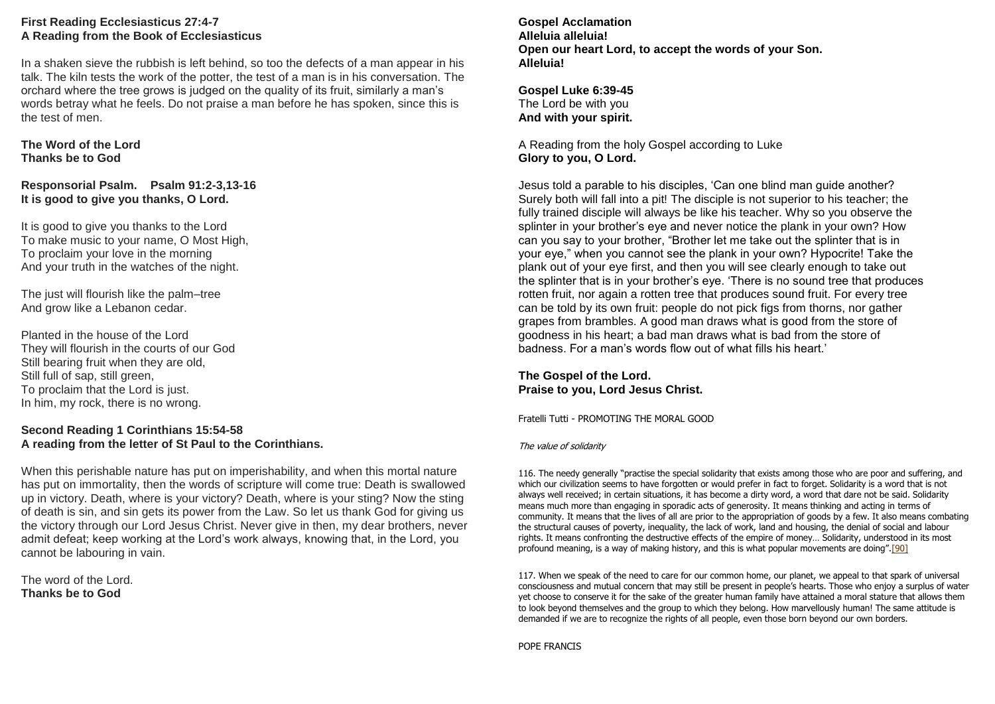# **First Reading Ecclesiasticus 27:4-7 A Reading from the Book of Ecclesiasticus**

In a shaken sieve the rubbish is left behind, so too the defects of a man appear in his talk. The kiln tests the work of the potter, the test of a man is in his conversation. The orchard where the tree grows is judged on the quality of its fruit, similarly a man's words betray what he feels. Do not praise a man before he has spoken, since this is the test of men.

## **The Word of the Lord Thanks be to God**

# **Responsorial Psalm. Psalm 91:2-3,13-16 It is good to give you thanks, O Lord.**

It is good to give you thanks to the Lord To make music to your name, O Most High, To proclaim your love in the morning And your truth in the watches of the night.

The just will flourish like the palm–tree And grow like a Lebanon cedar.

Planted in the house of the Lord They will flourish in the courts of our God Still bearing fruit when they are old, Still full of sap, still green, To proclaim that the Lord is just. In him, my rock, there is no wrong.

## **Second Reading 1 Corinthians 15:54-58 A reading from the letter of St Paul to the Corinthians.**

When this perishable nature has put on imperishability, and when this mortal nature has put on immortality, then the words of scripture will come true: Death is swallowed up in victory. Death, where is your victory? Death, where is your sting? Now the sting of death is sin, and sin gets its power from the Law. So let us thank God for giving us the victory through our Lord Jesus Christ. Never give in then, my dear brothers, never admit defeat; keep working at the Lord's work always, knowing that, in the Lord, you cannot be labouring in vain.

The word of the Lord. **Thanks be to God**

**Gospel Acclamation Alleluia alleluia! Open our heart Lord, to accept the words of your Son. Alleluia!**

**Gospel Luke 6:39-45** The Lord be with you **And with your spirit.**

A Reading from the holy Gospel according to Luke **Glory to you, O Lord.**

Jesus told a parable to his disciples, 'Can one blind man guide another? Surely both will fall into a pit! The disciple is not superior to his teacher; the fully trained disciple will always be like his teacher. Why so you observe the splinter in your brother's eye and never notice the plank in your own? How can you say to your brother, "Brother let me take out the splinter that is in your eye," when you cannot see the plank in your own? Hypocrite! Take the plank out of your eye first, and then you will see clearly enough to take out the splinter that is in your brother's eye. 'There is no sound tree that produces rotten fruit, nor again a rotten tree that produces sound fruit. For every tree can be told by its own fruit: people do not pick figs from thorns, nor gather grapes from brambles. A good man draws what is good from the store of goodness in his heart; a bad man draws what is bad from the store of badness. For a man's words flow out of what fills his heart.'

**The Gospel of the Lord. Praise to you, Lord Jesus Christ.**

Fratelli Tutti - PROMOTING THE MORAL GOOD

#### The value of solidarity

116. The needy generally "practise the special solidarity that exists among those who are poor and suffering, and which our civilization seems to have forgotten or would prefer in fact to forget. Solidarity is a word that is not always well received; in certain situations, it has become a dirty word, a word that dare not be said. Solidarity means much more than engaging in sporadic acts of generosity. It means thinking and acting in terms of community. It means that the lives of all are prior to the appropriation of goods by a few. It also means combating the structural causes of poverty, inequality, the lack of work, land and housing, the denial of social and labour rights. It means confronting the destructive effects of the empire of money… Solidarity, understood in its most profound meaning, is a way of making history, and this is what popular movements are doing".[\[90\]](https://www.vatican.va/content/francesco/en/encyclicals/documents/papa-francesco_20201003_enciclica-fratelli-tutti.html#_ftn90)

117. When we speak of the need to care for our common home, our planet, we appeal to that spark of universal consciousness and mutual concern that may still be present in people's hearts. Those who enjoy a surplus of water yet choose to conserve it for the sake of the greater human family have attained a moral stature that allows them to look beyond themselves and the group to which they belong. How marvellously human! The same attitude is demanded if we are to recognize the rights of all people, even those born beyond our own borders.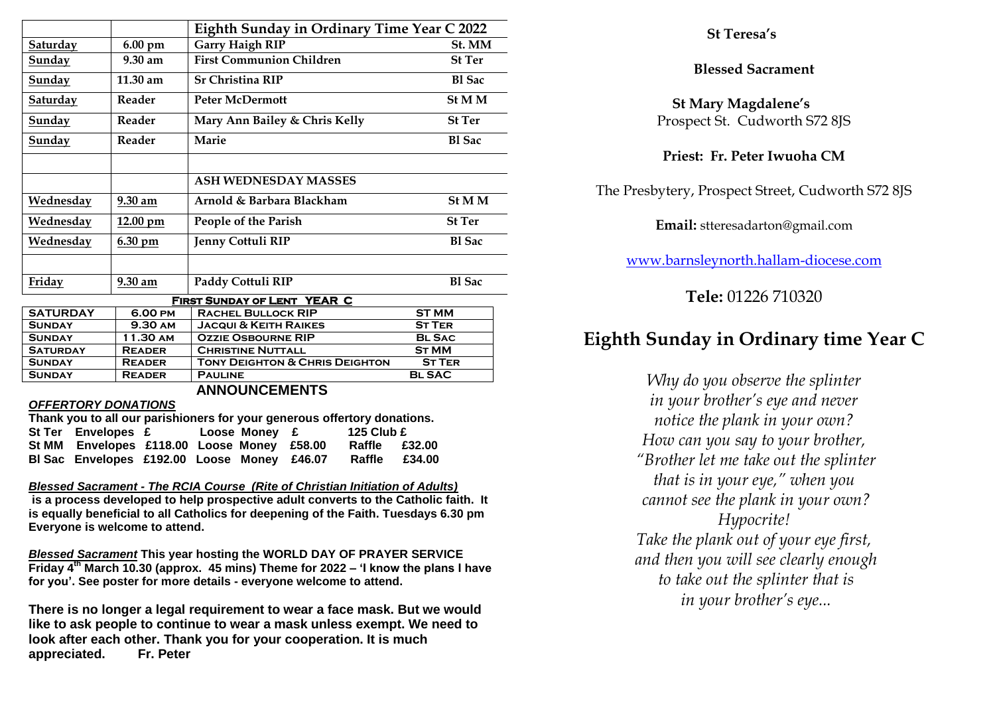|                                    |                    | Eighth Sunday in Ordinary Time Year C 2022 |               |  |  |  |  |  |
|------------------------------------|--------------------|--------------------------------------------|---------------|--|--|--|--|--|
| Saturday                           | $6.00 \text{ pm}$  | <b>Garry Haigh RIP</b>                     | St. MM        |  |  |  |  |  |
| <b>Sunday</b>                      | $9.30 \text{ am}$  | <b>First Communion Children</b>            | <b>St Ter</b> |  |  |  |  |  |
| <u>Sunday</u>                      | $11.30 \text{ am}$ | <b>Sr Christina RIP</b>                    | <b>Bl</b> Sac |  |  |  |  |  |
| <u>Saturday</u>                    | Reader             | <b>Peter McDermott</b>                     | <b>St M M</b> |  |  |  |  |  |
| Sunday                             | Reader             | Mary Ann Bailey & Chris Kelly              | <b>St Ter</b> |  |  |  |  |  |
| Sunday                             | Reader             | Marie                                      | <b>Bl</b> Sac |  |  |  |  |  |
|                                    |                    |                                            |               |  |  |  |  |  |
|                                    |                    | <b>ASH WEDNESDAY MASSES</b>                |               |  |  |  |  |  |
| Wednesday                          | 9.30 am            | Arnold & Barbara Blackham                  | <b>St M M</b> |  |  |  |  |  |
| <b>Wednesday</b>                   | $12.00 \text{ pm}$ | People of the Parish                       | <b>St Ter</b> |  |  |  |  |  |
| Wednesday                          | $6.30$ pm          | Jenny Cottuli RIP                          | <b>Bl</b> Sac |  |  |  |  |  |
|                                    |                    |                                            |               |  |  |  |  |  |
| Friday                             | $9.30 \text{ am}$  | Paddy Cottuli RIP                          | <b>Bl</b> Sac |  |  |  |  |  |
| <b>FIRST SUNDAY OF LENT YEAR C</b> |                    |                                            |               |  |  |  |  |  |

| FIRSI SUNDATUF LENI TEAR C |               |                                           |               |  |  |  |  |  |
|----------------------------|---------------|-------------------------------------------|---------------|--|--|--|--|--|
| <b>SATURDAY</b>            | 6.00 PM       | <b>RACHEL BULLOCK RIP</b>                 | <b>ST MM</b>  |  |  |  |  |  |
| <b>SUNDAY</b>              | 9.30 AM       | <b>JACQUI &amp; KEITH RAIKES</b>          | <b>STTER</b>  |  |  |  |  |  |
| <b>SUNDAY</b>              | 11.30 AM      | <b>OZZIE OSBOURNE RIP</b>                 | <b>BL SAC</b> |  |  |  |  |  |
| <b>SATURDAY</b>            | <b>READER</b> | <b>CHRISTINE NUTTALL</b>                  | <b>STMM</b>   |  |  |  |  |  |
| <b>SUNDAY</b>              | <b>READER</b> | <b>TONY DEIGHTON &amp; CHRIS DEIGHTON</b> | <b>ST TER</b> |  |  |  |  |  |
| <b>SUNDAY</b>              | <b>READER</b> | <b>PAULINE</b>                            | <b>BL SAC</b> |  |  |  |  |  |

## **ANNOUNCEMENTS**

#### *OFFERTORY DONATIONS*

| Thank you to all our parishioners for your generous offertory donations. |                                             |  |  |               |  |                   |        |  |  |  |
|--------------------------------------------------------------------------|---------------------------------------------|--|--|---------------|--|-------------------|--------|--|--|--|
|                                                                          | St Ter Envelopes £                          |  |  | Loose Money £ |  | <b>125 Club £</b> |        |  |  |  |
|                                                                          | St MM Envelopes £118.00 Loose Money £58.00  |  |  |               |  | Raffle £32.00     |        |  |  |  |
|                                                                          | BI Sac Envelopes £192.00 Loose Money £46.07 |  |  |               |  | Raffle            | £34.00 |  |  |  |

*Blessed Sacrament - The RCIA Course (Rite of Christian Initiation of Adults)* **is a process developed to help prospective adult converts to the Catholic faith. It is equally beneficial to all Catholics for deepening of the Faith. Tuesdays 6.30 pm Everyone is welcome to attend.**

*Blessed Sacrament* **This year hosting the WORLD DAY OF PRAYER SERVICE Friday 4th March 10.30 (approx. 45 mins) Theme for 2022 – 'I know the plans I have for you'. See poster for more details - everyone welcome to attend.**

**There is no longer a legal requirement to wear a face mask. But we would like to ask people to continue to wear a mask unless exempt. We need to look after each other. Thank you for your cooperation. It is much appreciated. Fr. Peter**

# **St Teresa's**

# **Blessed Sacrament**

 **St Mary Magdalene's** Prospect St. Cudworth S72 8JS

# **Priest: Fr. Peter Iwuoha CM**

The Presbytery, Prospect Street, Cudworth S72 8JS

**Email:** stteresadarton@gmail.com

[www.barnsleynorth.hallam-diocese.com](http://www.barnsleynorth.hallam-diocese.com/)

**Tele:** 01226 710320

# **Eighth Sunday in Ordinary time Year C**

*Why do you observe the splinter in your brother's eye and never notice the plank in your own? How can you say to your brother, "Brother let me take out the splinter that is in your eye," when you cannot see the plank in your own? Hypocrite! Take the plank out of your eye first, and then you will see clearly enough to take out the splinter that is in your brother's eye...*